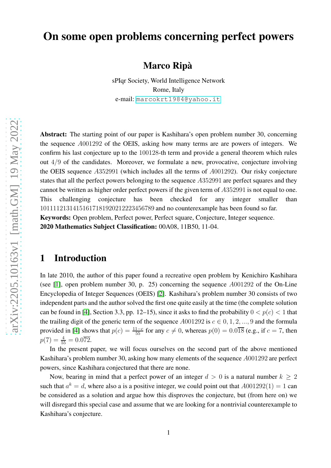# On some open problems concerning perfect powers

Marco Ripà

sPIqr Society, World Intelligence Network Rome, Italy e-mail: <marcokrt1984@yahoo.it>

Abstract: The starting point of our paper is Kashihara's open problem number 30, concerning the sequence A001292 of the OEIS, asking how many terms are are powers of integers. We confirm his last conjecture up to the 100128-th term and provide a general theorem which rules out 4/9 of the candidates. Moreover, we formulate a new, provocative, conjecture involving the OEIS sequence A352991 (which includes all the terms of A001292). Our risky conjecture states that all the perfect powers belonging to the sequence A352991 are perfect squares and they cannot be written as higher order perfect powers if the given term of A352991 is not equal to one. This challenging conjecture has been checked for any integer smaller than 10111121314151617181920212223456789 and no counterexample has been found so far. Keywords: Open problem, Perfect power, Perfect square, Conjecture, Integer sequence. 2020 Mathematics Subject Classification: 00A08, 11B50, 11-04.

#### 1 Introduction

In late 2010, the author of this paper found a recreative open problem by Kenichiro Kashihara (see [\[1\]](#page-7-0), open problem number 30, p. 25) concerning the sequence A001292 of the On-Line Encyclopedia of Integer Sequences (OEIS) [\[2\]](#page-7-1). Kashihara's problem number 30 consists of two independent parts and the author solved the first one quite easily at the time (the complete solution can be found in [\[4\]](#page-7-2), Section 3.3, pp. 12–15), since it asks to find the probability  $0 < p(c) < 1$  that the trailing digit of the generic term of the sequence  $A001292$  is  $c \in 0, 1, 2, ..., 9$  and the formula provided in [\[4\]](#page-7-2) shows that  $p(c) = \frac{11-c}{55}$  for any  $c \neq 0$ , whereas  $p(0) = 0.0\overline{18}$  (e.g., if  $c = 7$ , then  $p(7) = \frac{4}{55} = 0.0\overline{72}.$ 

In the present paper, we will focus ourselves on the second part of the above mentioned Kashihara's problem number 30, asking how many elements of the sequence A001292 are perfect powers, since Kashihara conjectured that there are none.

Now, bearing in mind that a perfect power of an integer  $d > 0$  is a natural number  $k \geq 2$ such that  $a^k = d$ , where also a is a positive integer, we could point out that  $A001292(1) = 1$  can be considered as a solution and argue how this disproves the conjecture, but (from here on) we will disregard this special case and assume that we are looking for a nontrivial counterexample to Kashihara's conjecture.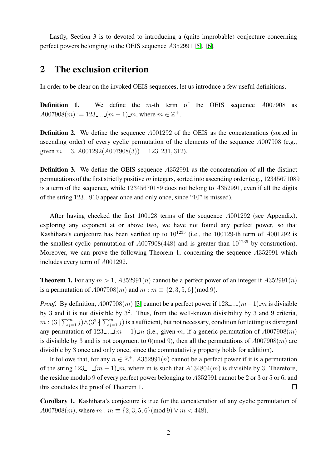Lastly, Section 3 is to devoted to introducing a (quite improbable) conjecture concerning perfect powers belonging to the OEIS sequence A352991 [\[5\]](#page-7-3), [\[6\]](#page-7-4).

#### 2 The exclusion criterion

In order to be clear on the invoked OEIS sequences, let us introduce a few useful definitions.

**Definition 1.** We define the m-th term of the OEIS sequence  $A007908$  as  $A007908(m) := 123$ .... $(m-1)$  m, where  $m \in \mathbb{Z}^+$ .

**Definition 2.** We define the sequence  $A001292$  of the OEIS as the concatenations (sorted in ascending order) of every cyclic permutation of the elements of the sequence A007908 (e.g., given  $m = 3$ ,  $A001292(A007908(3)) = 123, 231, 312$ .

Definition 3. We define the OEIS sequence A352991 as the concatenation of all the distinct permutations of the first strictly positive m integers, sorted into ascending order (e.g., 12345671089 is a term of the sequence, while 12345670189 does not belong to A352991, even if all the digits of the string 123...910 appear once and only once, since "10" is missed).

After having checked the first 100128 terms of the sequence A001292 (see Appendix), exploring any exponent at or above two, we have not found any perfect power, so that Kashihara's conjecture has been verified up to  $10^{1235}$  (i.e., the 100129-th term of A001292 is the smallest cyclic permutation of  $A007908(448)$  and is greater than  $10^{1235}$  by construction). Moreover, we can prove the following Theorem 1, concerning the sequence A352991 which includes every term of A001292.

**Theorem 1.** For any  $m > 1$ ,  $A352991(n)$  cannot be a perfect power of an integer if  $A352991(n)$ is a permutation of  $A007908(m)$  and  $m : m \equiv \{2, 3, 5, 6\} \pmod{9}$ .

*Proof.* By definition,  $A007908(m)$  [\[3\]](#page-7-5) cannot be a perfect power if  $123$ ...  $(m-1)$  m is divisible by 3 and it is not divisible by  $3^2$ . Thus, from the well-known divisibility by 3 and 9 criteria,  $m:(3\mid\sum_{j=1}^m j)\wedge (3^2\nmid\sum_{j=1}^m j)$  is a sufficient, but not necessary, condition for letting us disregard any permutation of 123...  $(m-1)$  m (i.e., given m, if a generic permutation of  $A007908(m)$ ) is divisible by 3 and is not congruent to 0(mod 9), then all the permutations of  $A007908(m)$  are divisible by 3 once and only once, since the commutativity property holds for addition).

It follows that, for any  $n \in \mathbb{Z}^+$ ,  $A352991(n)$  cannot be a perfect power if it is a permutation of the string  $123$ ...  $(m-1)$  m, where m is such that  $A134804(m)$  is divisible by 3. Therefore, the residue modulo 9 of every perfect power belonging to A352991 cannot be 2 or 3 or 5 or 6, and this concludes the proof of Theorem 1.  $\Box$ 

Corollary 1. Kashihara's conjecture is true for the concatenation of any cyclic permutation of  $A007908(m)$ , where  $m : m \equiv \{2, 3, 5, 6\} \pmod{9} \lor m < 448$ .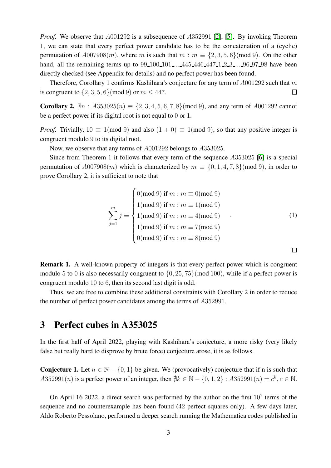*Proof.* We observe that  $A001292$  is a subsequence of  $A352991$  [\[2\]](#page-7-1), [\[5\]](#page-7-3). By invoking Theorem 1, we can state that every perfect power candidate has to be the concatenation of a (cyclic) permutation of  $A007908(m)$ , where m is such that  $m : m \equiv \{2, 3, 5, 6\} \pmod{9}$ . On the other hand, all the remaining terms up to 99.100.101... 445.446.447.1.2.3... 96.97.98 have been directly checked (see Appendix for details) and no perfect power has been found.

Therefore, Corollary 1 confirms Kashihara's conjecture for any term of  $A001292$  such that m is congruent to  $\{2, 3, 5, 6\}$  (mod 9) or  $m \leq 447$ .  $\Box$ 

**Corollary 2.**  $\nexists n : A353025(n) \equiv \{2, 3, 4, 5, 6, 7, 8\} \pmod{9}$ , and any term of A001292 cannot be a perfect power if its digital root is not equal to 0 or 1.

*Proof.* Trivially,  $10 \equiv 1 \pmod{9}$  and also  $(1 + 0) \equiv 1 \pmod{9}$ , so that any positive integer is congruent modulo 9 to its digital root.

Now, we observe that any terms of A001292 belongs to A353025.

Since from Theorem 1 it follows that every term of the sequence A353025 [\[6\]](#page-7-4) is a special permutation of  $A007908(m)$  which is characterized by  $m \equiv \{0, 1, 4, 7, 8\}$  (mod 9), in order to prove Corollary 2, it is sufficient to note that

$$
\sum_{j=1}^{m} j \equiv \begin{cases}\n0(\text{mod } 9) \text{ if } m : m \equiv 0(\text{mod } 9) \\
1(\text{mod } 9) \text{ if } m : m \equiv 1(\text{mod } 9) \\
1(\text{mod } 9) \text{ if } m : m \equiv 4(\text{mod } 9) \\
1(\text{mod } 9) \text{ if } m : m \equiv 7(\text{mod } 9) \\
0(\text{mod } 9) \text{ if } m : m \equiv 8(\text{mod } 9)\n\end{cases} (1)
$$

 $\Box$ 

Remark 1. A well-known property of integers is that every perfect power which is congruent modulo 5 to 0 is also necessarily congruent to  $\{0, 25, 75\}$  (mod 100), while if a perfect power is congruent modulo 10 to 6, then its second last digit is odd.

Thus, we are free to combine these additional constraints with Corollary 2 in order to reduce the number of perfect power candidates among the terms of A352991.

#### 3 Perfect cubes in A353025

In the first half of April 2022, playing with Kashihara's conjecture, a more risky (very likely false but really hard to disprove by brute force) conjecture arose, it is as follows.

**Conjecture 1.** Let  $n \in \mathbb{N} - \{0, 1\}$  be given. We (provocatively) conjecture that if n is such that  $A352991(n)$  is a perfect power of an integer, then  $\sharp k \in \mathbb{N} - \{0, 1, 2\} : A352991(n) = c^k, c \in \mathbb{N}$ .

On April 16 2022, a direct search was performed by the author on the first  $10<sup>7</sup>$  terms of the sequence and no counterexample has been found (42 perfect squares only). A few days later, Aldo Roberto Pessolano, performed a deeper search running the Mathematica codes published in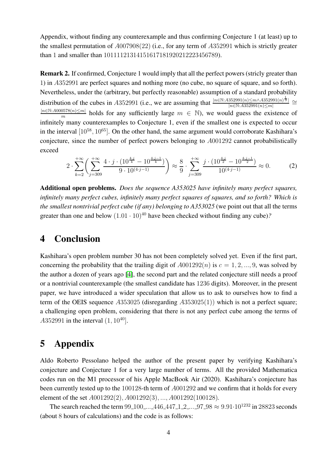Appendix, without finding any counterexample and thus confirming Conjecture 1 (at least) up to the smallest permutation of A007908(22) (i.e., for any term of A352991 which is strictly greater than 1 and smaller than 10111121314151617181920212223456789).

Remark 2. If confirmed, Conjecture 1 would imply that all the perfect powers (stricly greater than 1) in A352991 are perfect squares and nothing more (no cube, no square of square, and so forth). Nevertheless, under the (arbitrary, but perfectly reasonable) assumption of a standard probability distribution of the cubes in A352991 (i.e., we are assuming that  $\frac{|n \in \mathbb{N}: A352991(n) \le m \wedge A352991(n)|}{|n \in \mathbb{N}: A352991(n) \le m|}$  $\frac{352991(n)≤m\land A352991(n)$   $\frac{1}{3}$   $\cong$ | $n∈\mathbb{N}:A000578(n)≤m$ |  $\frac{\sin(8(n) \le m)}{m}$  holds for any sufficiently large  $m \in \mathbb{N}$ , we would guess the existence of infinitely many counterexamples to Conjecture 1, even if the smallest one is expected to occur in the interval  $[10^{58}, 10^{65}]$ . On the other hand, the same argument would corroborate Kashihara's conjecture, since the number of perfect powers belonging to A001292 cannot probabilistically exceed

$$
2 \cdot \sum_{k=2}^{+\infty} \left( \sum_{j=309}^{+\infty} \frac{4 \cdot j \cdot (10^{\frac{4 \cdot j}{k}} - 10^{\frac{4 \cdot j - 1}{k}})}{9 \cdot 10^{(4 \cdot j - 1)}} \right) \approx \frac{8}{9} \cdot \sum_{j=309}^{+\infty} \frac{j \cdot (10^{\frac{4 \cdot j}{2}} - 10^{\frac{4 \cdot j - 1}{2}})}{10^{(4 \cdot j - 1)}} \approx 0. \tag{2}
$$

Additional open problems. *Does the sequence A353025 have infinitely many perfect squares, infinitely many perfect cubes, infinitely many perfect squares of squares, and so forth? Which is the smallest nontrivial perfect cube (if any) belonging to A353025* (we point out that all the terms greater than one and below  $(1.01 \cdot 10)^{40}$  have been checked without finding any cube)?

#### 4 Conclusion

Kashihara's open problem number 30 has not been completely solved yet. Even if the first part, concerning the probability that the trailing digit of  $A001292(n)$  is  $c = 1, 2, ..., 9$ , was solved by the author a dozen of years ago [\[4\]](#page-7-2), the second part and the related conjecture still needs a proof or a nontrivial counterexample (the smallest candidate has 1236 digits). Moreover, in the present paper, we have introduced a wider speculation that allow us to ask to ourselves how to find a term of the OEIS sequence  $A353025$  (disregarding  $A353025(1)$ ) which is not a perfect square; a challenging open problem, considering that there is not any perfect cube among the terms of  $A352991$  in the interval  $(1, 10^{40}]$ .

### 5 Appendix

Aldo Roberto Pessolano helped the author of the present paper by verifying Kashihara's conjecture and Conjecture 1 for a very large number of terms. All the provided Mathematica codes run on the M1 processor of his Apple MacBook Air (2020). Kashihara's conjecture has been currently tested up to the 100128-th term of A001292 and we confirm that it holds for every element of the set A001292(2), A001292(3), ..., A001292(100128).

The search reached the term 99-100 ... 446-447-1-2 ... 97-98  $\approx 9.91 \cdot 10^{1232}$  in 28823 seconds (about 8 hours of calculations) and the code is as follows: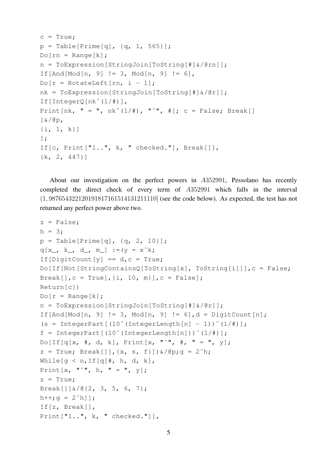```
c = True;
p = Table[Prime[q], {q, 1, 565}];
Do[rn = Range[k];n = ToExpression[StringJoin[ToString[#]&/@rn]];
If [And [Mod[n, 9] != 3, Mod[n, 9] != 6],
Do[r = RotateLeft[rn, i - 1];nk = ToExpression[StringJoin[ToString[#]&/@r]];
If[IntegerQ[nkˆ(1/#)],
Print[nk, " = ", nk^(1/#), "^", #]; c = False; Break[]
]&/@p,
\{i, 1, k\}];
If[c, Print["1..", k, " checked."], Break[]],
{k, 2, 447}]
```
About our investigation on the perfect powers in A352991, Pessolano has recently completed the direct check of every term of A352991 which falls in the interval (1, 987654322120191817161514131211110] (see the code below). As expected, the test has not returned any perfect power above two.

```
z = False;h = 3:p = Table[Prime[q], {q, 2, 10}];
q[x_, k_, d_, m_] :=(y = x^k;
If [DigitCount [y] == d, c = True;
Do[If[Not[StringContainsQ[ToString[x], ToString[i]]],c = False;
Break[],c = True],\{i, 10, m\}],c = False];
Return[c])
Do[r = Range[k];n = ToExpression[StringJoin[ToString[#]&/@r]];
If[And[Mod[n, 9] != 3, Mod[n, 9] != 6], d = DigitCount[n];
(s = \text{IntegerPart}[(10^{\degree}(\text{IntegerLength}[n] - 1))^{\degree}(1/\#)];
f = \text{IntegerPart}[(10^{\degree}(\text{IntegerLength}[n]))^{\degree}(1/\#)];
Do[If[q[x, *], d, k], Print[x, "^" , *', " = ", y];z = True; Break[], \{x, s, f\}) \&/@p; q = 2^h;While[g < n, If[q[#, h, d, k],
Print[x, "^n, h, " = ", y];z = True;Break[]]&/@{2, 3, 5, 6, 7};
h++;q = 2^h1;If[z, Break[],
Print["1..", k, " checked."]],
```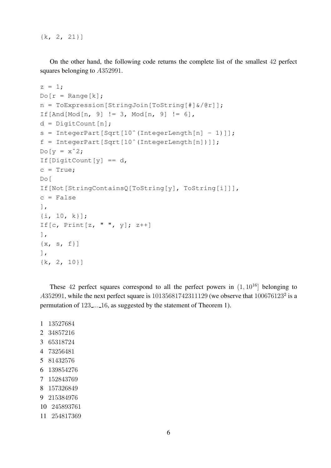{k, 2, 21}]

On the other hand, the following code returns the complete list of the smallest 42 perfect squares belonging to A352991.

```
z = 1;Do[r = Range[k];n = ToExpression[StringJoin[ToString[#]&/@r]];
If [And [Mod[n, 9] != 3, Mod[n, 9] != 6],
d = DigitCount [n];
s = IntegerPart[Sqrt[10^(IntegerLength[n] - 1)]];
f = IntegerPart[Sqrt[10ˆ(IntegerLength[n])]];
Do[y = x^2]If [DigitCount[y] == d,c = True;Do[
If[Not[StringContainsQ[ToString[y], ToString[i]]],
c = False
],
{i, 10, k}];
If [c, \text{Print}[z, " ", y]; z++)\frac{1}{2}\{x, s, f\}\frac{1}{2},
{k, 2, 10}]
```
These 42 perfect squares correspond to all the perfect powers in  $(1, 10^{16})$  belonging to  $A352991$ , while the next perfect square is  $10135681742311129$  (we observe that  $100676123^2$  is a permutation of 123 ... 16, as suggested by the statement of Theorem 1).

- 1 13527684
- 2 34857216
- 3 65318724
- 4 73256481
- 5 81432576
- 6 139854276
- 7 152843769
- 8 157326849
- 9 215384976
- 10 245893761
- 11 254817369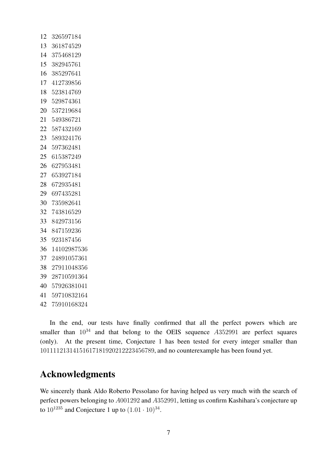| 12 | 326597184      |
|----|----------------|
| 13 | 361874529      |
| 14 | 375468129      |
| 15 | 382945761      |
| 16 | 385297641      |
| 17 | 412739856      |
| 18 | 523814769      |
| 19 | 529874361      |
| 20 | 537219684      |
|    | 21 549386721   |
| 22 | 587432169      |
| 23 | 589324176      |
| 24 | 597362481      |
| 25 | 615387249      |
| 26 | 627953481      |
| 27 | 653927184      |
| 28 | 672935481      |
| 29 | 697435281      |
| 30 | 735982641      |
| 32 | 743816529      |
| 33 | 842973156      |
| 34 | 847159236      |
| 35 | 923187456      |
| 36 | 14102987536    |
| 37 | 24891057361    |
| 38 | 27911048356    |
| 39 | 28710591364    |
| 40 | 57926381041    |
|    | 41 59710832164 |
| 42 | 75910168324    |

In the end, our tests have finally confirmed that all the perfect powers which are smaller than  $10^{34}$  and that belong to the OEIS sequence  $A352991$  are perfect squares (only). At the present time, Conjecture 1 has been tested for every integer smaller than , and no counterexample has been found yet.

### Acknowledgments

We sincerely thank Aldo Roberto Pessolano for having helped us very much with the search of perfect powers belonging to A001292 and A352991, letting us confirm Kashihara's conjecture up to  $10^{1235}$  and Conjecture 1 up to  $(1.01 \cdot 10)^{34}$ .